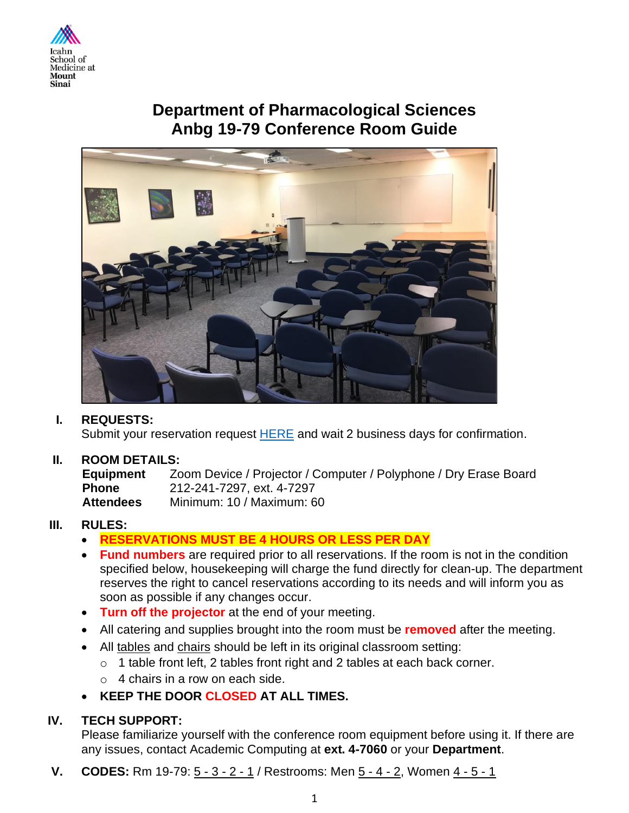

# **Department of Pharmacological Sciences Anbg 19-79 Conference Room Guide**



## **I. REQUESTS:**

Submit your reservation request **HERE** and wait 2 business days for confirmation.

## **II. ROOM DETAILS:**

**Equipment** Zoom Device / Projector / Computer / Polyphone / Dry Erase Board **Phone** 212-241-7297, ext. 4-7297 **Attendees** Minimum: 10 / Maximum: 60

## **III. RULES:**

- **RESERVATIONS MUST BE 4 HOURS OR LESS PER DAY**
- **Fund numbers** are required prior to all reservations. If the room is not in the condition specified below, housekeeping will charge the fund directly for clean-up. The department reserves the right to cancel reservations according to its needs and will inform you as soon as possible if any changes occur.
- **Turn off the projector** at the end of your meeting.
- All catering and supplies brought into the room must be **removed** after the meeting.
- All tables and chairs should be left in its original classroom setting:
	- $\circ$  1 table front left, 2 tables front right and 2 tables at each back corner.
	- $\circ$  4 chairs in a row on each side.
- **KEEP THE DOOR CLOSED AT ALL TIMES.**

## **IV. TECH SUPPORT:**

Please familiarize yourself with the conference room equipment before using it. If there are any issues, contact Academic Computing at **ext. 4-7060** or your **Department**.

**V. CODES:** Rm 19-79:  $5 - 3 - 2 - 1$  / Restrooms: Men  $5 - 4 - 2$ , Women  $4 - 5 - 1$